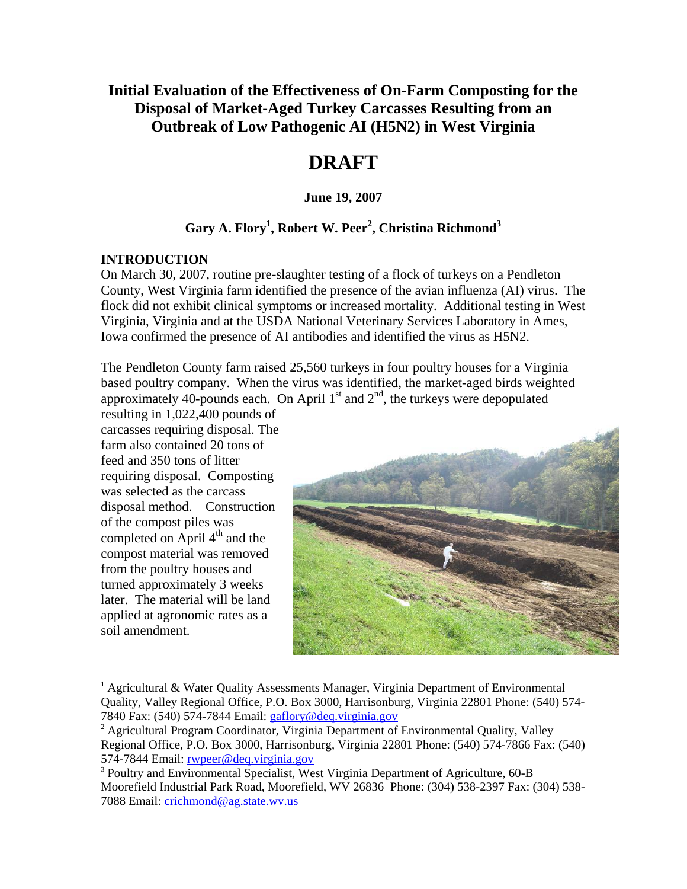# **Initial Evaluation of the Effectiveness of On-Farm Composting for the Disposal of Market-Aged Turkey Carcasses Resulting from an Outbreak of Low Pathogenic AI (H5N2) in West Virginia**

# **DRAFT**

#### **June 19, 2007**

## $\rm{Gary}$  A. Flory<sup>1</sup>, Robert W. Peer<sup>2</sup>, Christina Richmond<sup>3</sup>

#### **INTRODUCTION**

On March 30, 2007, routine pre-slaughter testing of a flock of turkeys on a Pendleton County, West Virginia farm identified the presence of the avian influenza (AI) virus. The flock did not exhibit clinical symptoms or increased mortality. Additional testing in West Virginia, Virginia and at the USDA National Veterinary Services Laboratory in Ames, Iowa confirmed the presence of AI antibodies and identified the virus as H5N2.

The Pendleton County farm raised 25,560 turkeys in four poultry houses for a Virginia based poultry company. When the virus was identified, the market-aged birds weighted approximately 40-pounds each. On April  $1<sup>st</sup>$  and  $2<sup>nd</sup>$ , the turkeys were depopulated

resulting in 1,022,400 pounds of carcasses requiring disposal. The farm also contained 20 tons of feed and 350 tons of litter requiring disposal. Composting was selected as the carcass disposal method. Construction of the compost piles was completed on April  $4<sup>th</sup>$  and the compost material was removed from the poultry houses and turned approximately 3 weeks later. The material will be land applied at agronomic rates as a soil amendment.

 $\overline{a}$ 



<sup>&</sup>lt;sup>1</sup> Agricultural & Water Quality Assessments Manager, Virginia Department of Environmental Quality, Valley Regional Office, P.O. Box 3000, Harrisonburg, Virginia 22801 Phone: (540) 574-7840 Fax: (540) 574-7844 Email: gaflory@deq.virginia.gov

 $2^2$  Agricultural Program Coordinator, Virginia Department of Environmental Quality, Valley Regional Office, P.O. Box 3000, Harrisonburg, Virginia 22801 Phone: (540) 574-7866 Fax: (540) 574-7844 Email: rwpeer@deq.virginia.gov

<sup>&</sup>lt;sup>3</sup> Poultry and Environmental Specialist, West Virginia Department of Agriculture, 60-B Moorefield Industrial Park Road, Moorefield, WV 26836 Phone: (304) 538-2397 Fax: (304) 538- 7088 Email: crichmond@ag.state.wv.us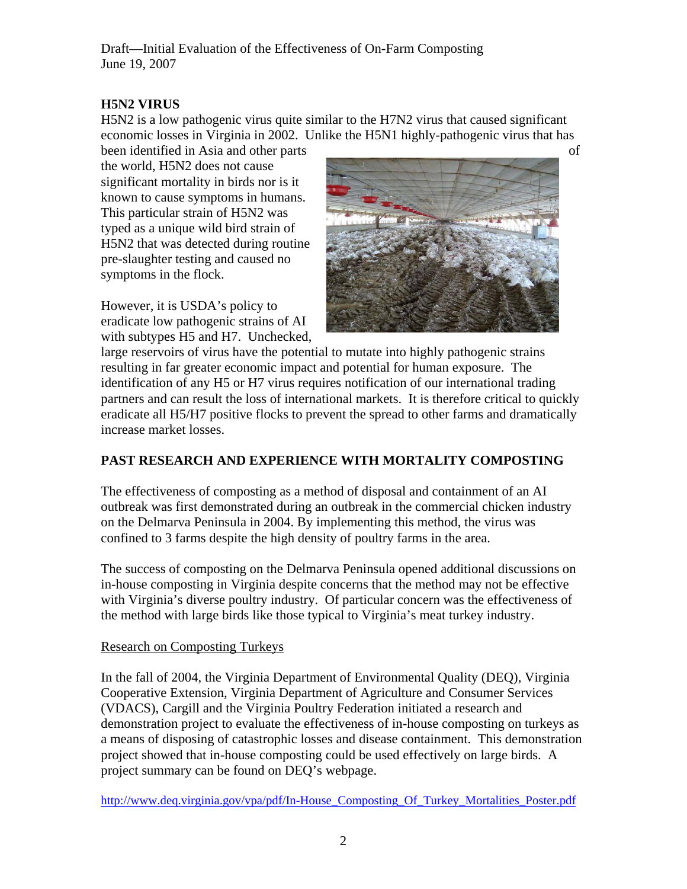## **H5N2 VIRUS**

H5N2 is a low pathogenic virus quite similar to the H7N2 virus that caused significant economic losses in Virginia in 2002. Unlike the H5N1 highly-pathogenic virus that has

been identified in Asia and other parts of the world, H5N2 does not cause significant mortality in birds nor is it known to cause symptoms in humans. This particular strain of H5N2 was typed as a unique wild bird strain of H5N2 that was detected during routine pre-slaughter testing and caused no symptoms in the flock.

However, it is USDA's policy to eradicate low pathogenic strains of AI with subtypes H5 and H7. Unchecked,



large reservoirs of virus have the potential to mutate into highly pathogenic strains resulting in far greater economic impact and potential for human exposure. The identification of any H5 or H7 virus requires notification of our international trading partners and can result the loss of international markets. It is therefore critical to quickly eradicate all H5/H7 positive flocks to prevent the spread to other farms and dramatically increase market losses.

# **PAST RESEARCH AND EXPERIENCE WITH MORTALITY COMPOSTING**

The effectiveness of composting as a method of disposal and containment of an AI outbreak was first demonstrated during an outbreak in the commercial chicken industry on the Delmarva Peninsula in 2004. By implementing this method, the virus was confined to 3 farms despite the high density of poultry farms in the area.

The success of composting on the Delmarva Peninsula opened additional discussions on in-house composting in Virginia despite concerns that the method may not be effective with Virginia's diverse poultry industry. Of particular concern was the effectiveness of the method with large birds like those typical to Virginia's meat turkey industry.

## Research on Composting Turkeys

In the fall of 2004, the Virginia Department of Environmental Quality (DEQ), Virginia Cooperative Extension, Virginia Department of Agriculture and Consumer Services (VDACS), Cargill and the Virginia Poultry Federation initiated a research and demonstration project to evaluate the effectiveness of in-house composting on turkeys as a means of disposing of catastrophic losses and disease containment. This demonstration project showed that in-house composting could be used effectively on large birds. A project summary can be found on DEQ's webpage.

http://www.deq.virginia.gov/ypa/pdf/In-House Composting Of Turkey Mortalities Poster.pdf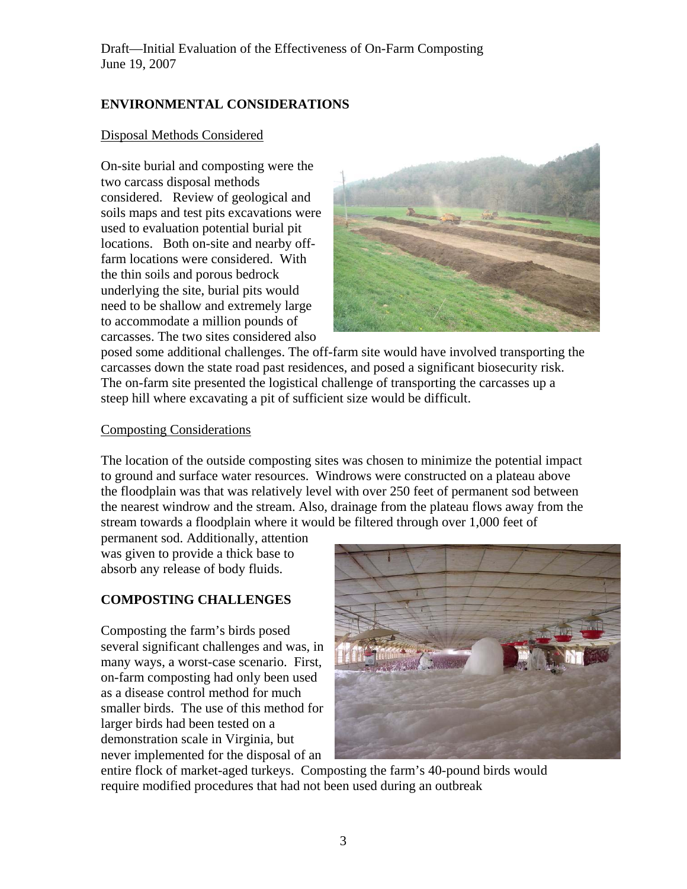# **ENVIRONMENTAL CONSIDERATIONS**

#### Disposal Methods Considered

On-site burial and composting were the two carcass disposal methods considered. Review of geological and soils maps and test pits excavations were used to evaluation potential burial pit locations. Both on-site and nearby offfarm locations were considered. With the thin soils and porous bedrock underlying the site, burial pits would need to be shallow and extremely large to accommodate a million pounds of carcasses. The two sites considered also



posed some additional challenges. The off-farm site would have involved transporting the carcasses down the state road past residences, and posed a significant biosecurity risk. The on-farm site presented the logistical challenge of transporting the carcasses up a steep hill where excavating a pit of sufficient size would be difficult.

#### Composting Considerations

The location of the outside composting sites was chosen to minimize the potential impact to ground and surface water resources. Windrows were constructed on a plateau above the floodplain was that was relatively level with over 250 feet of permanent sod between the nearest windrow and the stream. Also, drainage from the plateau flows away from the stream towards a floodplain where it would be filtered through over 1,000 feet of

permanent sod. Additionally, attention was given to provide a thick base to absorb any release of body fluids.

# **COMPOSTING CHALLENGES**

Composting the farm's birds posed several significant challenges and was, in many ways, a worst-case scenario. First, on-farm composting had only been used as a disease control method for much smaller birds. The use of this method for larger birds had been tested on a demonstration scale in Virginia, but never implemented for the disposal of an



entire flock of market-aged turkeys. Composting the farm's 40-pound birds would require modified procedures that had not been used during an outbreak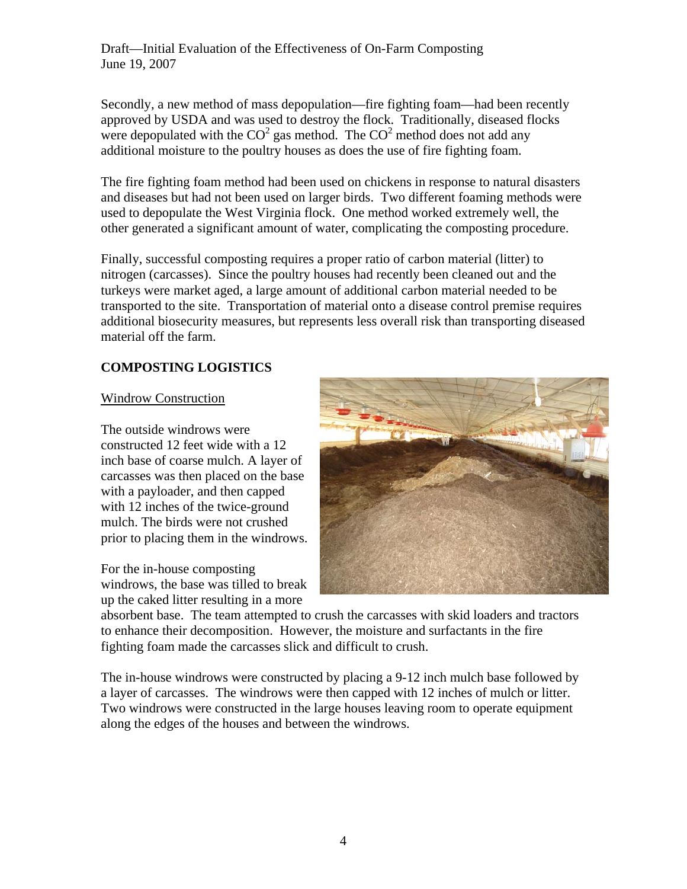Secondly, a new method of mass depopulation—fire fighting foam—had been recently approved by USDA and was used to destroy the flock. Traditionally, diseased flocks were depopulated with the  $CO<sup>2</sup>$  gas method. The  $CO<sup>2</sup>$  method does not add any additional moisture to the poultry houses as does the use of fire fighting foam.

The fire fighting foam method had been used on chickens in response to natural disasters and diseases but had not been used on larger birds. Two different foaming methods were used to depopulate the West Virginia flock. One method worked extremely well, the other generated a significant amount of water, complicating the composting procedure.

Finally, successful composting requires a proper ratio of carbon material (litter) to nitrogen (carcasses). Since the poultry houses had recently been cleaned out and the turkeys were market aged, a large amount of additional carbon material needed to be transported to the site. Transportation of material onto a disease control premise requires additional biosecurity measures, but represents less overall risk than transporting diseased material off the farm.

## **COMPOSTING LOGISTICS**

#### Windrow Construction

The outside windrows were constructed 12 feet wide with a 12 inch base of coarse mulch. A layer of carcasses was then placed on the base with a payloader, and then capped with 12 inches of the twice-ground mulch. The birds were not crushed prior to placing them in the windrows.

For the in-house composting windrows, the base was tilled to break up the caked litter resulting in a more



absorbent base. The team attempted to crush the carcasses with skid loaders and tractors to enhance their decomposition. However, the moisture and surfactants in the fire fighting foam made the carcasses slick and difficult to crush.

The in-house windrows were constructed by placing a 9-12 inch mulch base followed by a layer of carcasses. The windrows were then capped with 12 inches of mulch or litter. Two windrows were constructed in the large houses leaving room to operate equipment along the edges of the houses and between the windrows.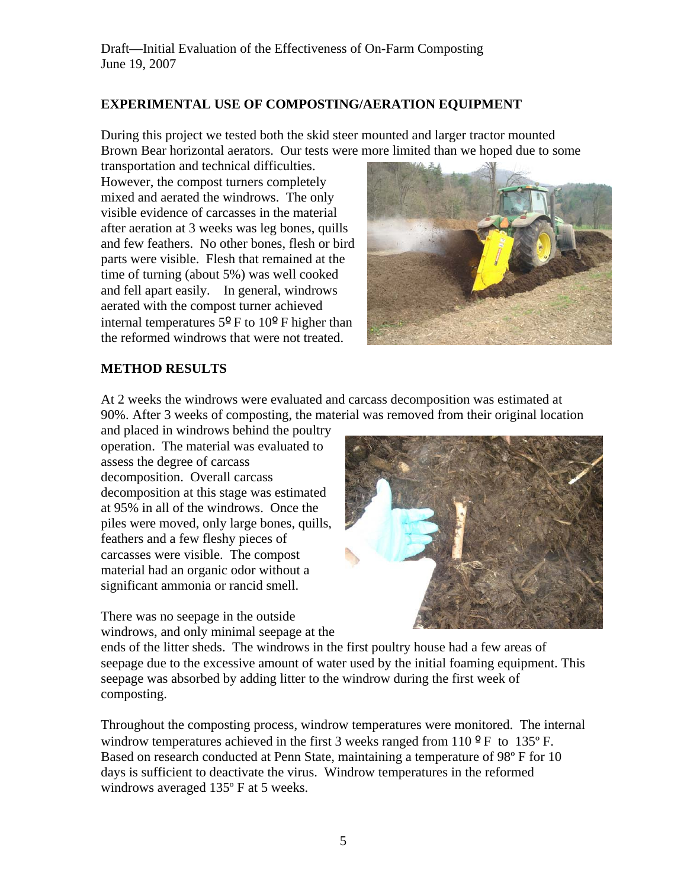## **EXPERIMENTAL USE OF COMPOSTING/AERATION EQUIPMENT**

During this project we tested both the skid steer mounted and larger tractor mounted Brown Bear horizontal aerators. Our tests were more limited than we hoped due to some

transportation and technical difficulties. However, the compost turners completely mixed and aerated the windrows. The only visible evidence of carcasses in the material after aeration at 3 weeks was leg bones, quills and few feathers. No other bones, flesh or bird parts were visible. Flesh that remained at the time of turning (about 5%) was well cooked and fell apart easily. In general, windrows aerated with the compost turner achieved internal temperatures 5º F to 10º F higher than the reformed windrows that were not treated.



## **METHOD RESULTS**

At 2 weeks the windrows were evaluated and carcass decomposition was estimated at 90%. After 3 weeks of composting, the material was removed from their original location

and placed in windrows behind the poultry operation. The material was evaluated to assess the degree of carcass decomposition. Overall carcass decomposition at this stage was estimated at 95% in all of the windrows. Once the piles were moved, only large bones, quills, feathers and a few fleshy pieces of carcasses were visible. The compost material had an organic odor without a significant ammonia or rancid smell.

There was no seepage in the outside windrows, and only minimal seepage at the



ends of the litter sheds. The windrows in the first poultry house had a few areas of seepage due to the excessive amount of water used by the initial foaming equipment. This seepage was absorbed by adding litter to the windrow during the first week of composting.

Throughout the composting process, windrow temperatures were monitored. The internal windrow temperatures achieved in the first 3 weeks ranged from  $110^{\circ}$  F to  $135^{\circ}$  F. Based on research conducted at Penn State, maintaining a temperature of 98º F for 10 days is sufficient to deactivate the virus. Windrow temperatures in the reformed windrows averaged 135º F at 5 weeks.